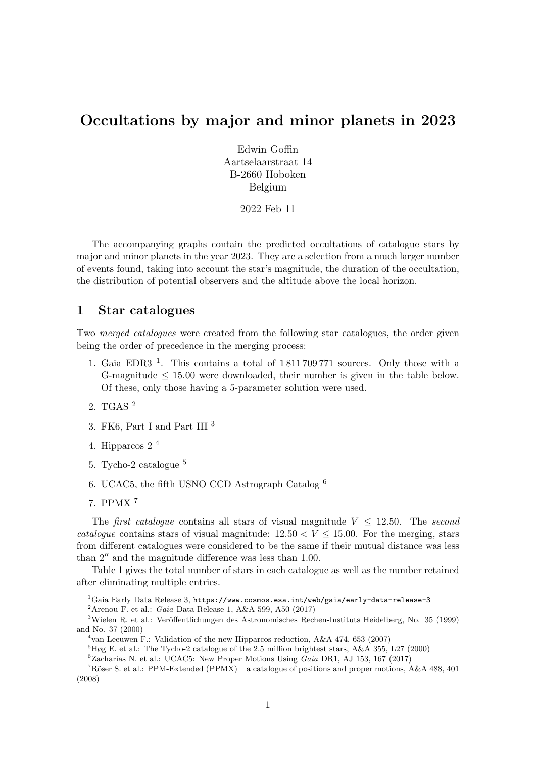# Occultations by major and minor planets in 2023

Edwin Goffin Aartselaarstraat 14 B-2660 Hoboken Belgium

2022 Feb 11

The accompanying graphs contain the predicted occultations of catalogue stars by major and minor planets in the year 2023. They are a selection from a much larger number of events found, taking into account the star's magnitude, the duration of the occultation, the distribution of potential observers and the altitude above the local horizon.

## 1 Star catalogues

Two *merged catalogues* were created from the following star catalogues, the order given being the order of precedence in the merging process:

- 1. Gaia EDR3  $<sup>1</sup>$ . This contains a total of 1811709771 sources. Only those with a</sup> G-magnitude  $\leq 15.00$  were downloaded, their number is given in the table below. Of these, only those having a 5-parameter solution were used.
- 2. TGAS <sup>2</sup>
- 3. FK6, Part I and Part III <sup>3</sup>
- 4. Hipparcos 2 <sup>4</sup>
- 5. Tycho-2 catalogue <sup>5</sup>
- 6. UCAC5, the fifth USNO CCD Astrograph Catalog <sup>6</sup>
- 7. PPMX <sup>7</sup>

The *first catalogue* contains all stars of visual magnitude  $V \leq 12.50$ . The *second* catalogue contains stars of visual magnitude:  $12.50 < V \le 15.00$ . For the merging, stars from different catalogues were considered to be the same if their mutual distance was less than  $2^{\prime\prime}$  and the magnitude difference was less than 1.00.

Table 1 gives the total number of stars in each catalogue as well as the number retained after eliminating multiple entries.

 $2$ Arenou F. et al.: Gaia Data Release 1, A&A 599, A50 (2017)

 $\overline{^{1}$ Gaia Early Data Release 3, https://www.cosmos.esa.int/web/gaia/early-data-release-3

 $3$ Wielen R. et al.: Veröffentlichungen des Astronomisches Rechen-Instituts Heidelberg, No. 35 (1999) and No. 37 (2000)

<sup>4</sup> van Leeuwen F.: Validation of the new Hipparcos reduction, A&A 474, 653 (2007)

 ${}^{5}H\phi$ g E. et al.: The Tycho-2 catalogue of the 2.5 million brightest stars, A&A 355, L27 (2000)

 ${}^{6}$ Zacharias N. et al.: UCAC5: New Proper Motions Using *Gaia* DR1, AJ 153, 167 (2017)

<sup>&</sup>lt;sup>7</sup>Röser S. et al.: PPM-Extended (PPMX) – a catalogue of positions and proper motions, A&A 488, 401 (2008)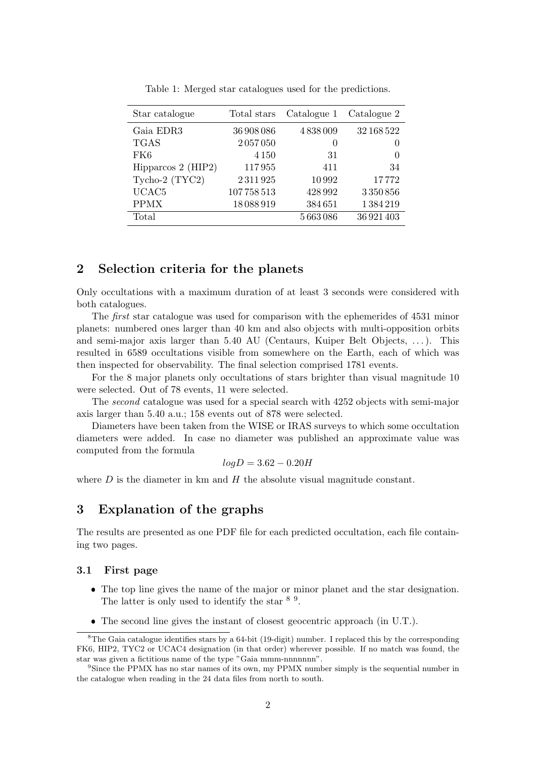| Star catalogue       | Total stars | Catalogue 1 | Catalogue 2      |
|----------------------|-------------|-------------|------------------|
| Gaia EDR3            | 36 908 086  | 4838009     | 32 168 522       |
| <b>TGAS</b>          | 2057050     | $\theta$    | $\theta$         |
| FK6                  | 4 1 5 0     | 31          | $\left( \right)$ |
| Hipparcos $2$ (HIP2) | 117955      | 411         | 34               |
| Tycho-2 (TYC2)       | 2311925     | 10992       | 17772            |
| UCAC <sub>5</sub>    | 107758513   | 428992      | 3350856          |
| <b>PPMX</b>          | 18088919    | 384651      | 1384219          |
| Total                |             | 5663086     | 36 921 403       |

Table 1: Merged star catalogues used for the predictions.

#### 2 Selection criteria for the planets

Only occultations with a maximum duration of at least 3 seconds were considered with both catalogues.

The first star catalogue was used for comparison with the ephemerides of 4531 minor planets: numbered ones larger than 40 km and also objects with multi-opposition orbits and semi-major axis larger than 5.40 AU (Centaurs, Kuiper Belt Objects, . . . ). This resulted in 6589 occultations visible from somewhere on the Earth, each of which was then inspected for observability. The final selection comprised 1781 events.

For the 8 major planets only occultations of stars brighter than visual magnitude 10 were selected. Out of 78 events, 11 were selected.

The second catalogue was used for a special search with 4252 objects with semi-major axis larger than 5.40 a.u.; 158 events out of 878 were selected.

Diameters have been taken from the WISE or IRAS surveys to which some occultation diameters were added. In case no diameter was published an approximate value was computed from the formula

$$
log D = 3.62 - 0.20H
$$

where  $D$  is the diameter in km and  $H$  the absolute visual magnitude constant.

### 3 Explanation of the graphs

The results are presented as one PDF file for each predicted occultation, each file containing two pages.

#### 3.1 First page

- The top line gives the name of the major or minor planet and the star designation. The latter is only used to identify the star  $8.9$ .
- The second line gives the instant of closest geocentric approach (in U.T.).

<sup>8</sup>The Gaia catalogue identifies stars by a 64-bit (19-digit) number. I replaced this by the corresponding FK6, HIP2, TYC2 or UCAC4 designation (in that order) wherever possible. If no match was found, the star was given a fictitious name of the type "Gaia mmm-nnnnnnn".

<sup>9</sup>Since the PPMX has no star names of its own, my PPMX number simply is the sequential number in the catalogue when reading in the 24 data files from north to south.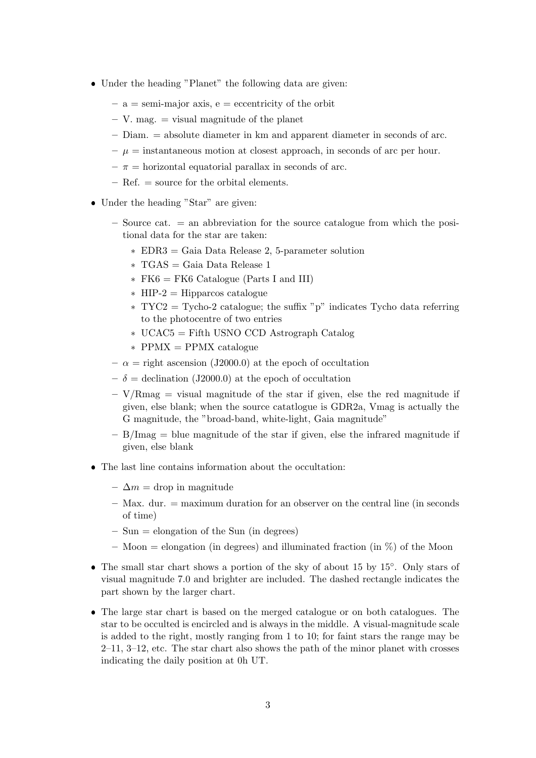- Under the heading "Planet" the following data are given:
	- $a = semi-major axis, e = eccentricity of the orbit$
	- $-$  V. mag.  $=$  visual magnitude of the planet
	- Diam. = absolute diameter in km and apparent diameter in seconds of arc.
	- $-\mu =$  instantaneous motion at closest approach, in seconds of arc per hour.
	- $-\pi$  = horizontal equatorial parallax in seconds of arc.
	- Ref. = source for the orbital elements.
- Under the heading "Star" are given:
	- $-$  Source cat.  $=$  an abbreviation for the source catalogue from which the positional data for the star are taken:
		- \* EDR3 = Gaia Data Release 2, 5-parameter solution
		- \* TGAS = Gaia Data Release 1
		- $*$  FK6 = FK6 Catalogue (Parts I and III)
		- $*$  HIP-2 = Hipparcos catalogue
		- \* TYC2 = Tycho-2 catalogue; the suffix "p" indicates Tycho data referring to the photocentre of two entries
		- \* UCAC5 = Fifth USNO CCD Astrograph Catalog
		- $*$  PPMX = PPMX catalogue
	- $-\alpha = \text{right association}$  (J2000.0) at the epoch of occultation
	- $-\delta$  = declination (J2000.0) at the epoch of occultation
	- $-$  V/Rmag  $=$  visual magnitude of the star if given, else the red magnitude if given, else blank; when the source catatlogue is GDR2a, Vmag is actually the G magnitude, the "broad-band, white-light, Gaia magnitude"
	- $B/ \text{Imag} =$  blue magnitude of the star if given, else the infrared magnitude if given, else blank
- The last line contains information about the occultation:
	- $\Delta m =$  drop in magnitude
	- $-$  Max. dur.  $=$  maximum duration for an observer on the central line (in seconds of time)
	- $-$  Sun  $=$  elongation of the Sun (in degrees)
	- Moon = elongation (in degrees) and illuminated fraction (in  $\%$ ) of the Moon
- The small star chart shows a portion of the sky of about 15 by 15◦ . Only stars of visual magnitude 7.0 and brighter are included. The dashed rectangle indicates the part shown by the larger chart.
- The large star chart is based on the merged catalogue or on both catalogues. The star to be occulted is encircled and is always in the middle. A visual-magnitude scale is added to the right, mostly ranging from 1 to 10; for faint stars the range may be 2–11, 3–12, etc. The star chart also shows the path of the minor planet with crosses indicating the daily position at 0h UT.